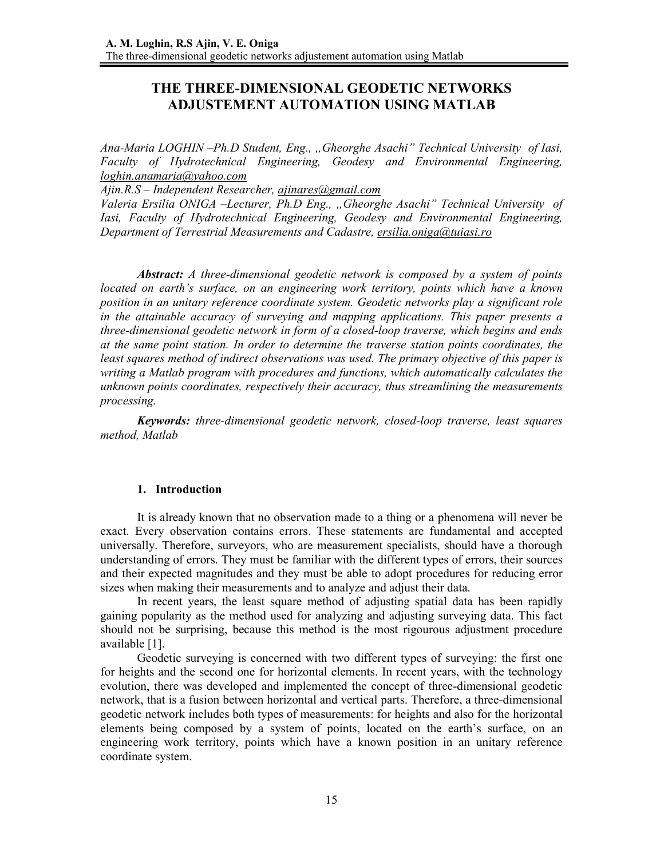# **THE THREE-DIMENSIONAL GEODETIC NETWORKS ADJUSTEMENT AUTOMATION USING MATLAB**

*Ana-Maria LOGHIN –Ph.D Student, Eng., "Gheorghe Asachi" Technical University of Iasi, Faculty of Hydrotechnical Engineering, Geodesy and Environmental Engineering, loghin.anamaria@yahoo.com*

*Ajin.R.S – Independent Researcher, ajinares@gmail.com*

*Valeria Ersilia ONIGA –Lecturer, Ph.D Eng., "Gheorghe Asachi" Technical University of Iasi, Faculty of Hydrotechnical Engineering, Geodesy and Environmental Engineering, Department of Terrestrial Measurements and Cadastre, ersilia.oniga@tuiasi.ro*

*Abstract: A three-dimensional geodetic network is composed by a system of points located on earth's surface, on an engineering work territory, points which have a known position in an unitary reference coordinate system. Geodetic networks play a significant role in the attainable accuracy of surveying and mapping applications. This paper presents a three-dimensional geodetic network in form of a closed-loop traverse, which begins and ends at the same point station. In order to determine the traverse station points coordinates, the least squares method of indirect observations was used. The primary objective of this paper is writing a Matlab program with procedures and functions, which automatically calculates the unknown points coordinates, respectively their accuracy, thus streamlining the measurements processing.* 

*Keywords: three-dimensional geodetic network, closed-loop traverse, least squares method, Matlab* 

### **1. Introduction**

It is already known that no observation made to a thing or a phenomena will never be exact. Every observation contains errors. These statements are fundamental and accepted universally. Therefore, surveyors, who are measurement specialists, should have a thorough understanding of errors. They must be familiar with the different types of errors, their sources and their expected magnitudes and they must be able to adopt procedures for reducing error sizes when making their measurements and to analyze and adjust their data.

In recent years, the least square method of adjusting spatial data has been rapidly gaining popularity as the method used for analyzing and adjusting surveying data. This fact should not be surprising, because this method is the most rigourous adjustment procedure available [1].

Geodetic surveying is concerned with two different types of surveying: the first one for heights and the second one for horizontal elements. In recent years, with the technology evolution, there was developed and implemented the concept of three-dimensional geodetic network, that is a fusion between horizontal and vertical parts. Therefore, a three-dimensional geodetic network includes both types of measurements: for heights and also for the horizontal elements being composed by a system of points, located on the earth's surface, on an engineering work territory, points which have a known position in an unitary reference coordinate system.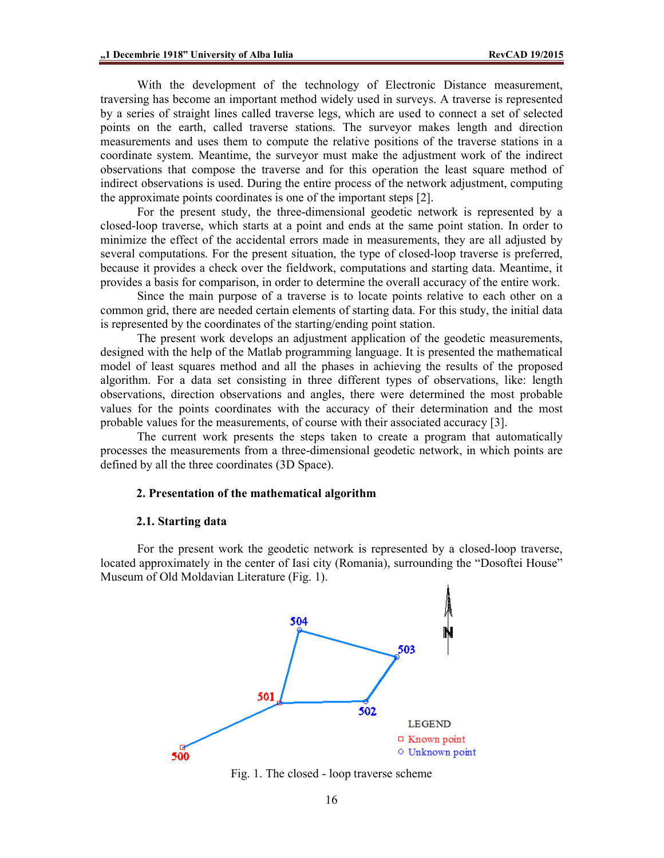With the development of the technology of Electronic Distance measurement, traversing has become an important method widely used in surveys. A traverse is represented by a series of straight lines called traverse legs, which are used to connect a set of selected points on the earth, called traverse stations. The surveyor makes length and direction measurements and uses them to compute the relative positions of the traverse stations in a coordinate system. Meantime, the surveyor must make the adjustment work of the indirect observations that compose the traverse and for this operation the least square method of indirect observations is used. During the entire process of the network adjustment, computing the approximate points coordinates is one of the important steps [2].

For the present study, the three-dimensional geodetic network is represented by a closed-loop traverse, which starts at a point and ends at the same point station. In order to minimize the effect of the accidental errors made in measurements, they are all adjusted by several computations. For the present situation, the type of closed-loop traverse is preferred, because it provides a check over the fieldwork, computations and starting data. Meantime, it provides a basis for comparison, in order to determine the overall accuracy of the entire work.

Since the main purpose of a traverse is to locate points relative to each other on a common grid, there are needed certain elements of starting data. For this study, the initial data is represented by the coordinates of the starting/ending point station.

The present work develops an adjustment application of the geodetic measurements, designed with the help of the Matlab programming language. It is presented the mathematical model of least squares method and all the phases in achieving the results of the proposed algorithm. For a data set consisting in three different types of observations, like: length observations, direction observations and angles, there were determined the most probable values for the points coordinates with the accuracy of their determination and the most probable values for the measurements, of course with their associated accuracy [3].

The current work presents the steps taken to create a program that automatically processes the measurements from a three-dimensional geodetic network, in which points are defined by all the three coordinates (3D Space).

### **2. Presentation of the mathematical algorithm**

#### **2.1. Starting data**

 For the present work the geodetic network is represented by a closed-loop traverse, located approximately in the center of Iasi city (Romania), surrounding the "Dosoftei House" Museum of Old Moldavian Literature (Fig. 1).



Fig. 1. The closed - loop traverse scheme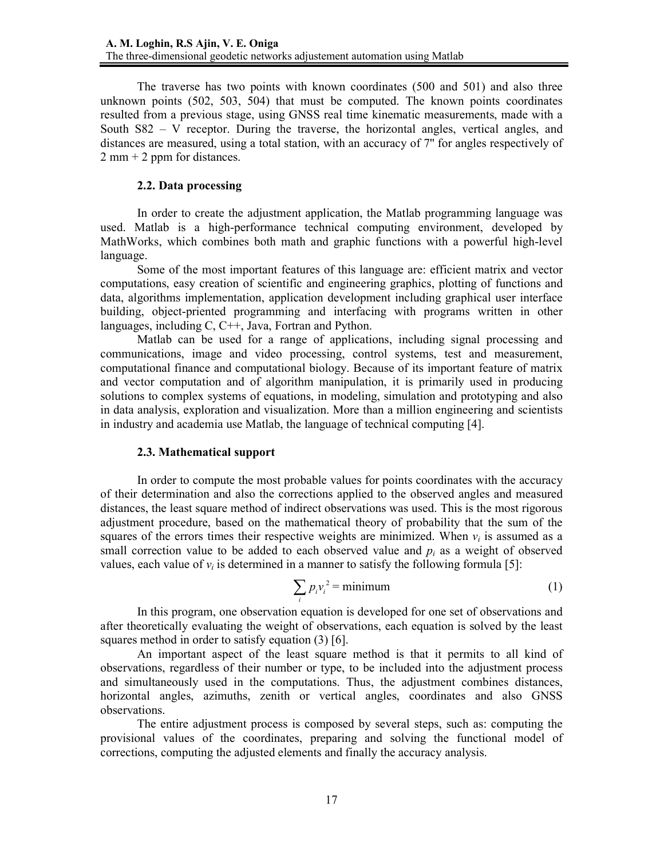The traverse has two points with known coordinates (500 and 501) and also three unknown points (502, 503, 504) that must be computed. The known points coordinates resulted from a previous stage, using GNSS real time kinematic measurements, made with a South S82 – V receptor. During the traverse, the horizontal angles, vertical angles, and distances are measured, using a total station, with an accuracy of 7'' for angles respectively of  $2 \text{ mm} + 2 \text{ ppm}$  for distances.

# **2.2. Data processing**

In order to create the adjustment application, the Matlab programming language was used. Matlab is a high-performance technical computing environment, developed by MathWorks, which combines both math and graphic functions with a powerful high-level language.

Some of the most important features of this language are: efficient matrix and vector computations, easy creation of scientific and engineering graphics, plotting of functions and data, algorithms implementation, application development including graphical user interface building, object-priented programming and interfacing with programs written in other languages, including C, C++, Java, Fortran and Python.

Matlab can be used for a range of applications, including signal processing and communications, image and video processing, control systems, test and measurement, computational finance and computational biology. Because of its important feature of matrix and vector computation and of algorithm manipulation, it is primarily used in producing solutions to complex systems of equations, in modeling, simulation and prototyping and also in data analysis, exploration and visualization. More than a million engineering and scientists in industry and academia use Matlab, the language of technical computing [4].

# **2.3. Mathematical support**

In order to compute the most probable values for points coordinates with the accuracy of their determination and also the corrections applied to the observed angles and measured distances, the least square method of indirect observations was used. This is the most rigorous adjustment procedure, based on the mathematical theory of probability that the sum of the squares of the errors times their respective weights are minimized. When  $v_i$  is assumed as a small correction value to be added to each observed value and  $p_i$  as a weight of observed values, each value of  $v_i$  is determined in a manner to satisfy the following formula [5]:

$$
\sum_{i} p_i v_i^2 = \text{minimum} \tag{1}
$$

In this program, one observation equation is developed for one set of observations and after theoretically evaluating the weight of observations, each equation is solved by the least squares method in order to satisfy equation (3) [6].

An important aspect of the least square method is that it permits to all kind of observations, regardless of their number or type, to be included into the adjustment process and simultaneously used in the computations. Thus, the adjustment combines distances, horizontal angles, azimuths, zenith or vertical angles, coordinates and also GNSS observations.

The entire adjustment process is composed by several steps, such as: computing the provisional values of the coordinates, preparing and solving the functional model of corrections, computing the adjusted elements and finally the accuracy analysis.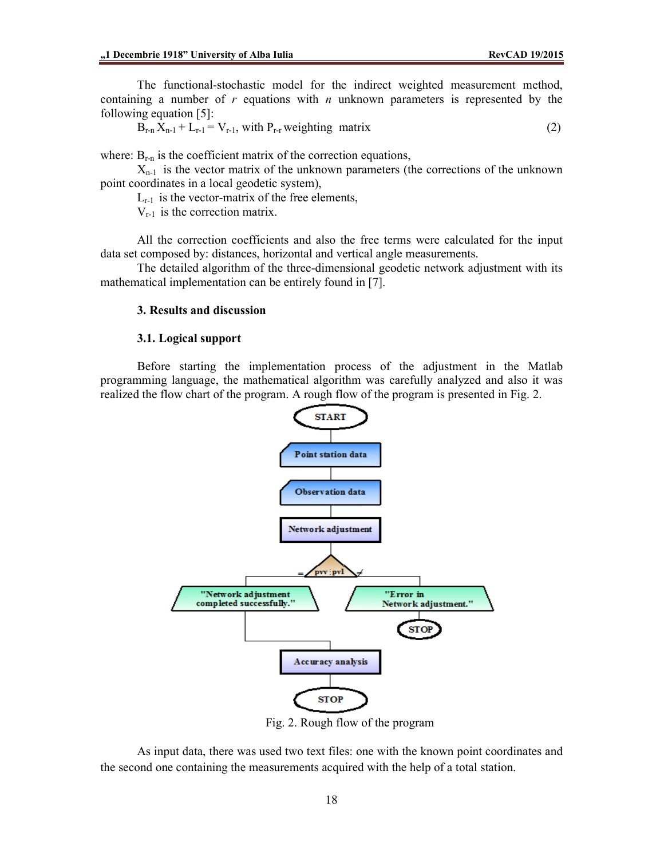The functional-stochastic model for the indirect weighted measurement method, containing a number of *r* equations with *n* unknown parameters is represented by the following equation [5]:

$$
B_{r-n}X_{n-1} + L_{r-1} = V_{r-1}
$$
, with  $P_{r-r}$  weighting matrix (2)

where:  $B_{r-n}$  is the coefficient matrix of the correction equations,

 $X_{n-1}$  is the vector matrix of the unknown parameters (the corrections of the unknown point coordinates in a local geodetic system),

 $L_{r-1}$  is the vector-matrix of the free elements,

 $V_{r-1}$  is the correction matrix.

All the correction coefficients and also the free terms were calculated for the input data set composed by: distances, horizontal and vertical angle measurements.

The detailed algorithm of the three-dimensional geodetic network adjustment with its mathematical implementation can be entirely found in [7].

### **3. Results and discussion**

### **3.1. Logical support**

Before starting the implementation process of the adjustment in the Matlab programming language, the mathematical algorithm was carefully analyzed and also it was realized the flow chart of the program. A rough flow of the program is presented in Fig. 2.



Fig. 2. Rough flow of the program

As input data, there was used two text files: one with the known point coordinates and the second one containing the measurements acquired with the help of a total station.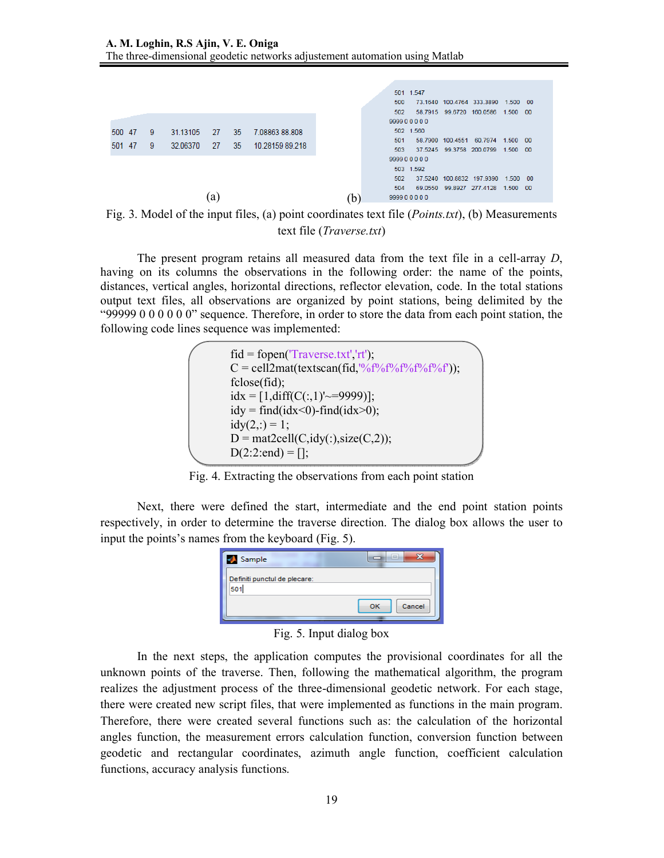

Fig. 3. Model of the input files, (a) point coordinates text file (*Points.txt*), (b) Measurements text file (*Traverse.txt*)

The present program retains all measured data from the text file in a cell-array *D*, having on its columns the observations in the following order: the name of the points, distances, vertical angles, horizontal directions, reflector elevation, code. In the total stations output text files, all observations are organized by point stations, being delimited by the "99999 0 0 0 0 0 0" sequence. Therefore, in order to store the data from each point station, the following code lines sequence was implemented:

| $\text{fid} = \text{fopen}(\text{Traverse.txt}\cdot \text{rt}\cdot),$  |  |
|------------------------------------------------------------------------|--|
| $C = \text{cell2mat}(textscan(fid, \frac{10}{6}f\%f\%f\%f\%f\%f\%f\).$ |  |
| fclose(fid);                                                           |  |
| $idx = [1, diff(C(:,1)' \sim = 9999)]$ ;                               |  |
| $idy = find(idx<0)$ -find $(idx>0)$ ;                                  |  |
| $idy(2, .) = 1;$                                                       |  |
| $D = mat2cell(C, idy(.), size(C, 2)),$                                 |  |
| $D(2:2:end) = []$ ;                                                    |  |
|                                                                        |  |

Fig. 4. Extracting the observations from each point station

Next, there were defined the start, intermediate and the end point station points respectively, in order to determine the traverse direction. The dialog box allows the user to input the points's names from the keyboard (Fig. 5).

| Sample                              | 33<br>$\equiv$ |  |  |
|-------------------------------------|----------------|--|--|
| Definiti punctul de plecare:<br>501 |                |  |  |
|                                     | Cancel<br>OK   |  |  |
|                                     |                |  |  |

Fig. 5. Input dialog box

In the next steps, the application computes the provisional coordinates for all the unknown points of the traverse. Then, following the mathematical algorithm, the program realizes the adjustment process of the three-dimensional geodetic network. For each stage, there were created new script files, that were implemented as functions in the main program. Therefore, there were created several functions such as: the calculation of the horizontal angles function, the measurement errors calculation function, conversion function between geodetic and rectangular coordinates, azimuth angle function, coefficient calculation functions, accuracy analysis functions.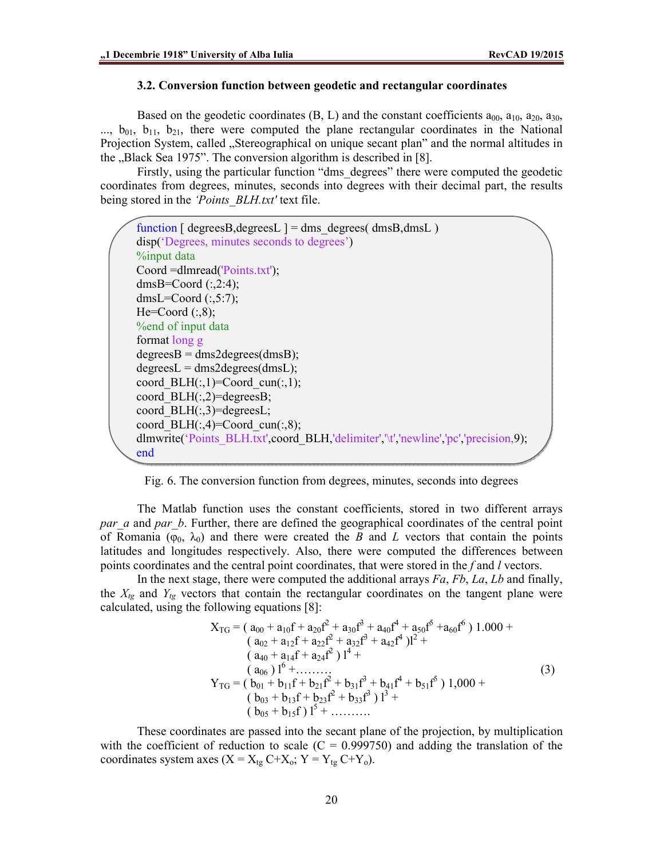#### **3.2. Conversion function between geodetic and rectangular coordinates**

Based on the geodetic coordinates  $(B, L)$  and the constant coefficients  $a_{00}$ ,  $a_{10}$ ,  $a_{20}$ ,  $a_{30}$ ,  $\ldots$ ,  $b_{01}$ ,  $b_{11}$ ,  $b_{21}$ , there were computed the plane rectangular coordinates in the National Projection System, called "Stereographical on unique secant plan" and the normal altitudes in the "Black Sea 1975". The conversion algorithm is described in [8].

Firstly, using the particular function "dms\_degrees" there were computed the geodetic coordinates from degrees, minutes, seconds into degrees with their decimal part, the results being stored in the *'Points\_BLH.txt'* text file.

```
function \lceil \text{degreesB, degreesL} \rceil = \text{dms} \text{ degrees}(\text{dmsB,dmsL})disp('Degrees, minutes seconds to degrees') 
%input data
Coord =dlmread('Points.txt'); 
dmsB=Coord (:,2:4);dmsL=Coord (:,5:7);He=Coord (:, 8);%end of input data
format long g
degreesB = dms2 degrees(dmsB);degreesL = dms2 degrees(dmsL);coord BLH(:,1)=Coord cun(:,1);
coord BLH(:,2)=degreesB;
coord BLH(:,3)=degreesL;
coord BLH(:,4)=Coord cun(:,8);
dlmwrite('Points_BLH.txt',coord_BLH,'delimiter','\t','newline','pc','precision,9);
end
```
Fig. 6. The conversion function from degrees, minutes, seconds into degrees

The Matlab function uses the constant coefficients, stored in two different arrays *par a* and *par b*. Further, there are defined the geographical coordinates of the central point of Romania ( $\varphi_0$ ,  $\lambda_0$ ) and there were created the *B* and *L* vectors that contain the points latitudes and longitudes respectively. Also, there were computed the differences between points coordinates and the central point coordinates, that were stored in the *f* and *l* vectors.

In the next stage, there were computed the additional arrays *Fa*, *Fb*, *La*, *Lb* and finally, the  $X_{tg}$  and  $Y_{tg}$  vectors that contain the rectangular coordinates on the tangent plane were calculated, using the following equations [8]:

$$
X_{TG} = (a_{00} + a_{10}f + a_{20}f^2 + a_{30}f^3 + a_{40}f^4 + a_{50}f^5 + a_{60}f^6) 1.000 +
$$
  
\n
$$
(a_{02} + a_{12}f + a_{22}f^2 + a_{32}f^3 + a_{42}f^4)l^2 +
$$
  
\n
$$
(a_{40} + a_{14}f + a_{24}f^2)l^4 +
$$
  
\n
$$
(a_{06})l^6 + \dots
$$
  
\n
$$
Y_{TG} = (b_{01} + b_{11}f + b_{21}f^2 + b_{31}f^3 + b_{41}f^4 + b_{51}f^5) 1,000 +
$$
  
\n
$$
(b_{03} + b_{13}f + b_{23}f^2 + b_{33}f^3)l^3 +
$$
  
\n
$$
(b_{05} + b_{15}f)l^5 + \dots
$$
  
\n(3)

These coordinates are passed into the secant plane of the projection, by multiplication with the coefficient of reduction to scale  $(C = 0.999750)$  and adding the translation of the coordinates system axes  $(X = X_{tg} C+X_o; Y = Y_{tg} C+Y_o)$ .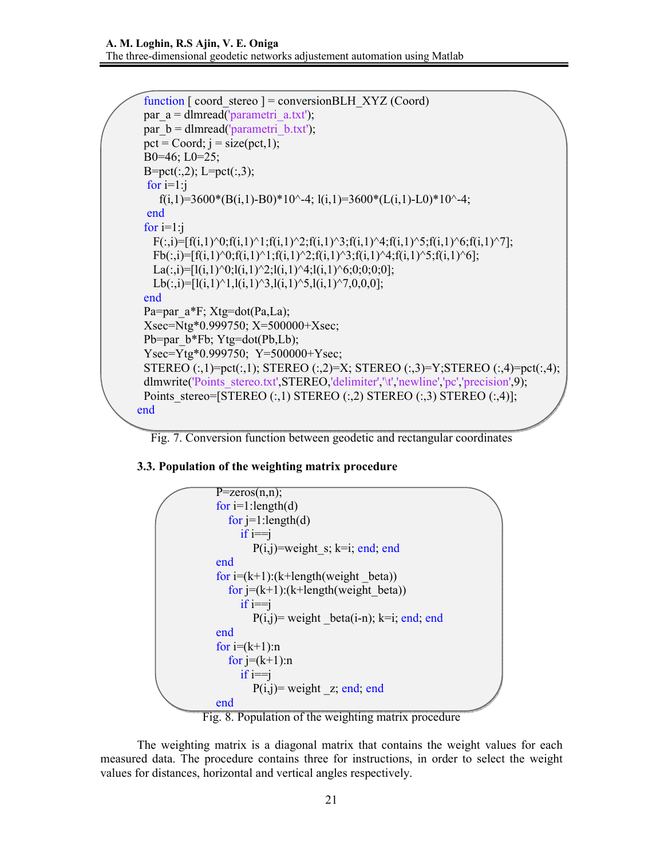```
function \lceil coord stereo \rceil = conversionBLH XYZ (Coord)
 par a = dlmread('parametri a.txt');
 par b = dlmread('parametri b.txt');
 pct = Coord; j = size(pct, 1);B0=46; L0=25; 
 B=pet(:,2); L=pet(:,3);for i=1:if(i,1)=3600*(B(i,1)-B0)*10^2-4; l(i,1)=3600*(L(i,1)-L0)*10^2-4;
 end
 for i=1:jF(:,i)=[f(i,1)^{0};f(i,1)^{1};f(i,1)^{2};f(i,1)^{3};f(i,1)^{4};f(i,1)^{5};f(i,1)^{6};f(i,1)^{7}];Fb(:,i)=[f(i,1)^{0};f(i,1)^{1};f(i,1)^{2};f(i,1)^{3};f(i,1)^{4};f(i,1)^{5};f(i,1)^{6}];La(:,i)=[l(i,1)^0;l(i,1)^2;l(i,1)^4;l(i,1)^6;0;0;0;0];
   Lb(:,i)=[l(i,1)^1,l(i,1)^3,l(i,1)^5,l(i,1)^7,0,0,0];
 end
 Pa=par_a*F; Xtg=dot(Pa,La);
 Xsec=Ntg*0.999750; X=500000+Xsec; 
 Pb=par b*Fb; Ytg=dot(Pb,Lb);
 Ysec=Ytg*0.999750; Y=500000+Ysec;
 STEREO (:,1)=pct(:,1); STEREO (:,2)=X; STEREO (:,3)=Y; STEREO (:,4)=pct(:,4);
 dlmwrite('Points_stereo.txt',STEREO,'delimiter','\t','newline','pc','precision',9);
 Points stereo=[STEREO (:,1) STEREO (:,2) STEREO (:,3) STEREO (:,4)];
end
```


# **3.3. Population of the weighting matrix procedure**



Fig. 8. Population of the weighting matrix procedure

The weighting matrix is a diagonal matrix that contains the weight values for each measured data. The procedure contains three for instructions, in order to select the weight values for distances, horizontal and vertical angles respectively.